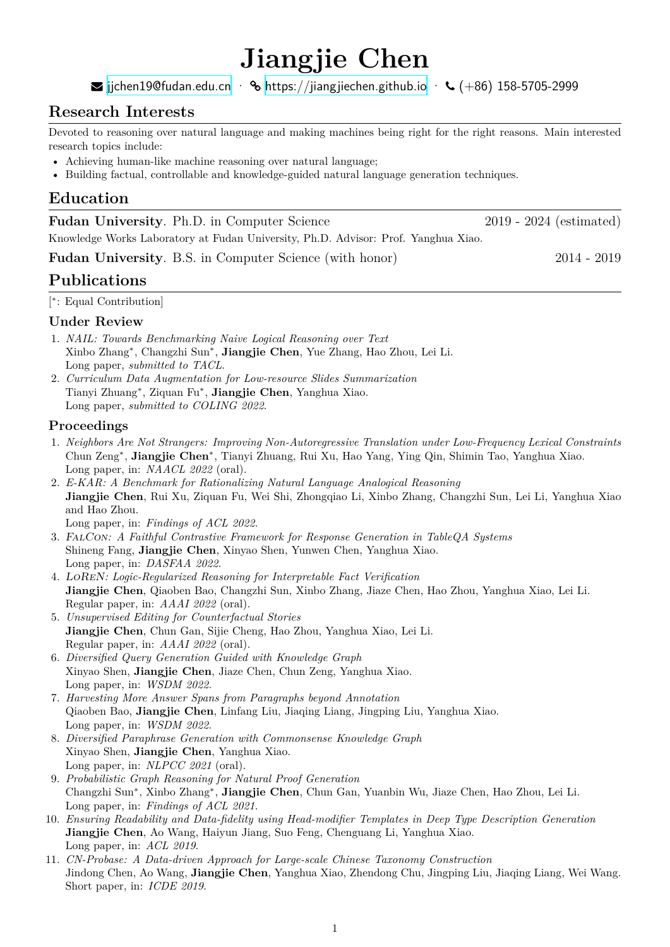# **Jiangjie Chen**

ijchen19@fudan.edu.cn ·  $\%$  https://jiangjiechen.github.io ·  $\%$  (+86) 158-5705-2999

# **Research Interests**

Devoted to [reasoning over natural lan](mailto:jjchen19@fudan.edu.cn)guage [and making machines being righ](https://jiangjiechen.github.io)t for the right reasons. Main interested research topics include:

- Achieving human-like machine reasoning over natural language;
- Building factual, controllable and knowledge-guided natural language generation techniques.

## **Education**

| <b>Fudan University.</b> Ph.D. in Computer Science                                 | $2019 - 2024$ (estimated) |
|------------------------------------------------------------------------------------|---------------------------|
| Knowledge Works Laboratory at Fudan University, Ph.D. Advisor: Prof. Yanghua Xiao. |                           |
| <b>Fudan University.</b> B.S. in Computer Science (with honor)                     | $2014 - 2019$             |
| <b>Publications</b>                                                                |                           |

[ *∗* : Equal Contribution]

#### **Under Review**

- 1. *NAIL: Towards Benchmarking Naive Logical Reasoning over Text* Xinbo Zhang*∗* , Changzhi Sun*∗* , **Jiangjie Chen**, Yue Zhang, Hao Zhou, Lei Li. Long paper, *submitted to TACL*.
- 2. *Curriculum Data Augmentation for Low-resource Slides Summarization* Tianyi Zhuang*<sup>∗</sup>* , Ziquan Fu*<sup>∗</sup>* , **Jiangjie Chen**, Yanghua Xiao. Long paper, *submitted to COLING 2022*.

#### **Proceedings**

- 1. *Neighbors Are Not Strangers: Improving Non-Autoregressive Translation under Low-Frequency Lexical Constraints* Chun Zeng*<sup>∗</sup>* , **Jiangjie Chen***<sup>∗</sup>* , Tianyi Zhuang, Rui Xu, Hao Yang, Ying Qin, Shimin Tao, Yanghua Xiao. Long paper, in: *NAACL 2022* (oral).
- 2. *E-KAR: A Benchmark for Rationalizing Natural Language Analogical Reasoning* **Jiangjie Chen**, Rui Xu, Ziquan Fu, Wei Shi, Zhongqiao Li, Xinbo Zhang, Changzhi Sun, Lei Li, Yanghua Xiao and Hao Zhou.

Long paper, in: *Findings of ACL 2022*.

- 3. *FalCon: A Faithful Contrastive Framework for Response Generation in TableQA Systems* Shineng Fang, **Jiangjie Chen**, Xinyao Shen, Yunwen Chen, Yanghua Xiao. Long paper, in: *DASFAA 2022*.
- 4. *LoReN: Logic-Regularized Reasoning for Interpretable Fact Verification* **Jiangjie Chen**, Qiaoben Bao, Changzhi Sun, Xinbo Zhang, Jiaze Chen, Hao Zhou, Yanghua Xiao, Lei Li. Regular paper, in: *AAAI 2022* (oral).
- 5. *Unsupervised Editing for Counterfactual Stories* **Jiangjie Chen**, Chun Gan, Sijie Cheng, Hao Zhou, Yanghua Xiao, Lei Li. Regular paper, in: *AAAI 2022* (oral).
- 6. *Diversified Query Generation Guided with Knowledge Graph* Xinyao Shen, **Jiangjie Chen**, Jiaze Chen, Chun Zeng, Yanghua Xiao. Long paper, in: *WSDM 2022*.
- 7. *Harvesting More Answer Spans from Paragraphs beyond Annotation* Qiaoben Bao, **Jiangjie Chen**, Linfang Liu, Jiaqing Liang, Jingping Liu, Yanghua Xiao. Long paper, in: *WSDM 2022*.
- 8. *Diversified Paraphrase Generation with Commonsense Knowledge Graph* Xinyao Shen, **Jiangjie Chen**, Yanghua Xiao. Long paper, in: *NLPCC 2021* (oral).
- 9. *Probabilistic Graph Reasoning for Natural Proof Generation* Changzhi Sun*<sup>∗</sup>* , Xinbo Zhang*<sup>∗</sup>* , **Jiangjie Chen**, Chun Gan, Yuanbin Wu, Jiaze Chen, Hao Zhou, Lei Li. Long paper, in: *Findings of ACL 2021*.
- 10. *Ensuring Readability and Data-fidelity using Head-modifier Templates in Deep Type Description Generation* **Jiangjie Chen**, Ao Wang, Haiyun Jiang, Suo Feng, Chenguang Li, Yanghua Xiao. Long paper, in: *ACL 2019*.
- 11. *CN-Probase: A Data-driven Approach for Large-scale Chinese Taxonomy Construction* Jindong Chen, Ao Wang, **Jiangjie Chen**, Yanghua Xiao, Zhendong Chu, Jingping Liu, Jiaqing Liang, Wei Wang. Short paper, in: *ICDE 2019*.